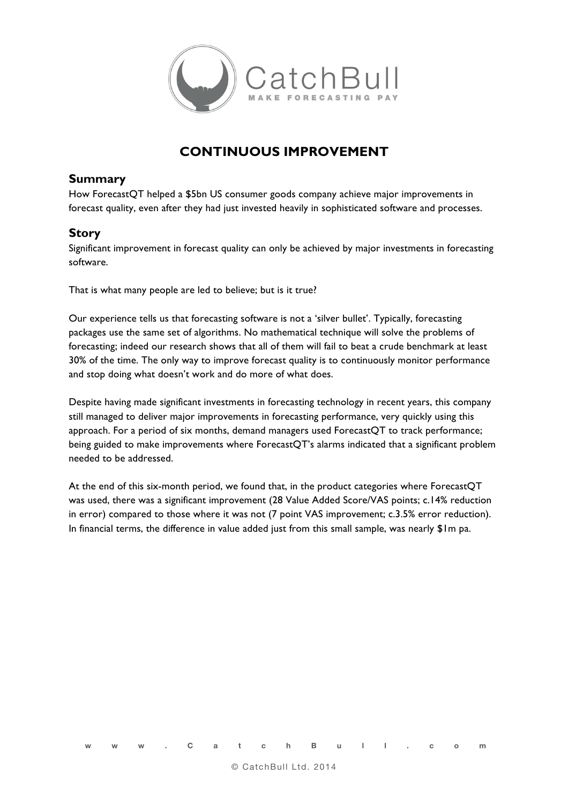

## **CONTINUOUS IMPROVEMENT**

## **Summary**

How ForecastQT helped a \$5bn US consumer goods company achieve major improvements in forecast quality, even after they had just invested heavily in sophisticated software and processes.

## **Story**

Significant improvement in forecast quality can only be achieved by major investments in forecasting software.

That is what many people are led to believe; but is it true?

Our experience tells us that forecasting software is not a 'silver bullet'. Typically, forecasting packages use the same set of algorithms. No mathematical technique will solve the problems of forecasting; indeed our research shows that all of them will fail to beat a crude benchmark at least 30% of the time. The only way to improve forecast quality is to continuously monitor performance and stop doing what doesn't work and do more of what does.

Despite having made significant investments in forecasting technology in recent years, this company still managed to deliver major improvements in forecasting performance, very quickly using this approach. For a period of six months, demand managers used ForecastQT to track performance; being guided to make improvements where ForecastQT's alarms indicated that a significant problem needed to be addressed.

At the end of this six-month period, we found that, in the product categories where ForecastQT was used, there was a significant improvement (28 Value Added Score/VAS points; c.14% reduction in error) compared to those where it was not (7 point VAS improvement; c.3.5% error reduction). In financial terms, the difference in value added just from this small sample, was nearly \$1m pa.

**www.CatchBull.com**